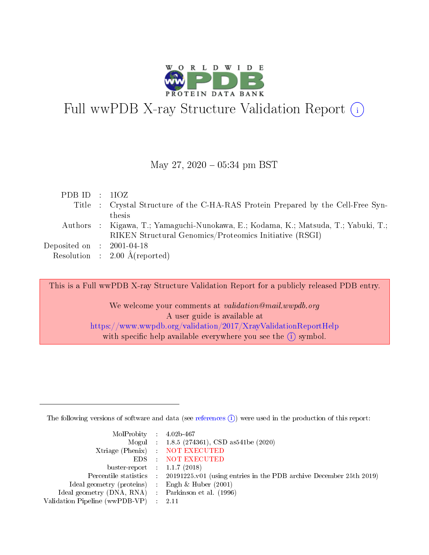

# Full wwPDB X-ray Structure Validation Report  $(i)$

#### May 27,  $2020 - 05:34$  pm BST

|  | PDBID : 1IOZ                                                                       |
|--|------------------------------------------------------------------------------------|
|  | Title : Crystal Structure of the C-HA-RAS Protein Prepared by the Cell-Free Syn-   |
|  | thesis                                                                             |
|  | Authors : Kigawa, T.; Yamaguchi-Nunokawa, E.; Kodama, K.; Matsuda, T.; Yabuki, T.; |
|  | RIKEN Structural Genomics/Proteomics Initiative (RSGI)                             |
|  | Deposited on : $2001-04-18$                                                        |
|  | Resolution : $2.00 \text{ Å}$ (reported)                                           |

This is a Full wwPDB X-ray Structure Validation Report for a publicly released PDB entry. We welcome your comments at *validation@mail.wwpdb.org* A user guide is available at

<https://www.wwpdb.org/validation/2017/XrayValidationReportHelp> with specific help available everywhere you see the  $(i)$  symbol.

The following versions of software and data (see [references](https://www.wwpdb.org/validation/2017/XrayValidationReportHelp#references)  $(i)$ ) were used in the production of this report:

| MolProbity : $4.02b-467$                            |                                                                                            |
|-----------------------------------------------------|--------------------------------------------------------------------------------------------|
|                                                     | Mogul : $1.8.5$ (274361), CSD as 541be (2020)                                              |
|                                                     | Xtriage (Phenix) NOT EXECUTED                                                              |
|                                                     | EDS : NOT EXECUTED                                                                         |
| buster-report : $1.1.7(2018)$                       |                                                                                            |
|                                                     | Percentile statistics : 20191225.v01 (using entries in the PDB archive December 25th 2019) |
| Ideal geometry (proteins) :                         | Engh & Huber $(2001)$                                                                      |
| Ideal geometry (DNA, RNA) : Parkinson et al. (1996) |                                                                                            |
| Validation Pipeline (wwPDB-VP)                      | -2.11                                                                                      |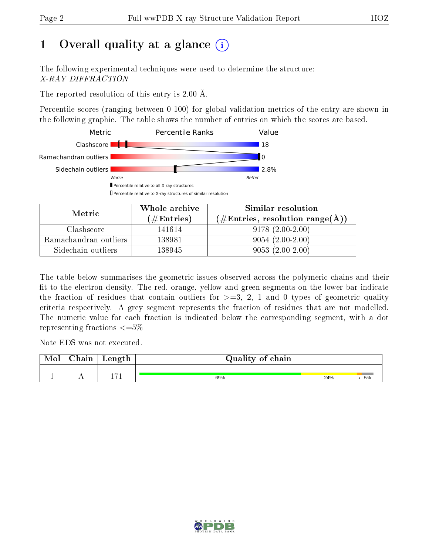# 1 [O](https://www.wwpdb.org/validation/2017/XrayValidationReportHelp#overall_quality)verall quality at a glance  $(i)$

The following experimental techniques were used to determine the structure: X-RAY DIFFRACTION

The reported resolution of this entry is 2.00 Å.

Percentile scores (ranging between 0-100) for global validation metrics of the entry are shown in the following graphic. The table shows the number of entries on which the scores are based.



| Metric                | Whole archive       | Similar resolution                                         |  |  |
|-----------------------|---------------------|------------------------------------------------------------|--|--|
|                       | (# $\rm{Entries}$ ) | $(\#\text{Entries}, \text{resolution range}(\text{\AA})\)$ |  |  |
| Clashscore            | 141614              | $9178(2.00-2.00)$                                          |  |  |
| Ramachandran outliers | 138981              | $9054(2.00-2.00)$                                          |  |  |
| Sidechain outliers    | 138945              | $9053(2.00-2.00)$                                          |  |  |

The table below summarises the geometric issues observed across the polymeric chains and their fit to the electron density. The red, orange, yellow and green segments on the lower bar indicate the fraction of residues that contain outliers for  $\geq=3$ , 2, 1 and 0 types of geometric quality criteria respectively. A grey segment represents the fraction of residues that are not modelled. The numeric value for each fraction is indicated below the corresponding segment, with a dot representing fractions  $\leq=5\%$ 

Note EDS was not executed.

| Mol | Chain | Length       | Quality of chain |     |    |  |  |
|-----|-------|--------------|------------------|-----|----|--|--|
|     |       | <b>P</b> → 1 | 69%              | 24% | 5% |  |  |

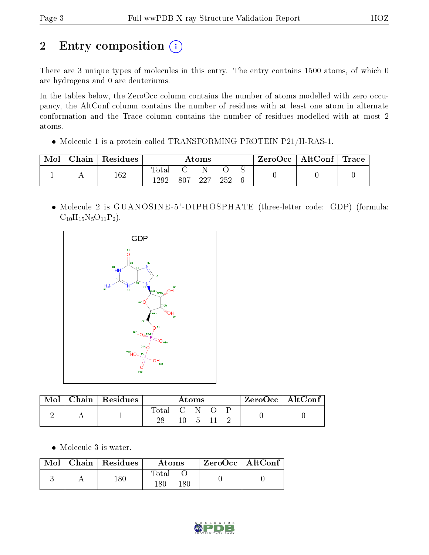# 2 Entry composition (i)

There are 3 unique types of molecules in this entry. The entry contains 1500 atoms, of which 0 are hydrogens and 0 are deuteriums.

In the tables below, the ZeroOcc column contains the number of atoms modelled with zero occupancy, the AltConf column contains the number of residues with at least one atom in alternate conformation and the Trace column contains the number of residues modelled with at most 2 atoms.

Molecule 1 is a protein called TRANSFORMING PROTEIN P21/H-RAS-1.

| Mol | Chain   Residues | Atoms                  |     |      |     |  | $\text{ZeroOcc} \mid \text{AltConf} \mid \text{Trace}$ |  |
|-----|------------------|------------------------|-----|------|-----|--|--------------------------------------------------------|--|
|     | $^{162}$         | $\text{Total}$<br>1292 | 807 | -997 | 252 |  |                                                        |  |

 Molecule 2 is GUANOSINE -5' -DIPHOSPHATE (three-letter code: GDP) (formula:  $C_{10}H_{15}N_5O_{11}P_2$ .



| Mol | Chain   Residues | Atoms       |     |  |  | 'ZeroOcc   AltConf |  |  |
|-----|------------------|-------------|-----|--|--|--------------------|--|--|
|     |                  | Total C N O | 10. |  |  |                    |  |  |

Molecule 3 is water.

|  | $\text{Mol}$   Chain   Residues | Atoms               | $ZeroOcc \   \ AltConf$ |  |
|--|---------------------------------|---------------------|-------------------------|--|
|  | $180\,$                         | Total<br>180<br>'86 |                         |  |

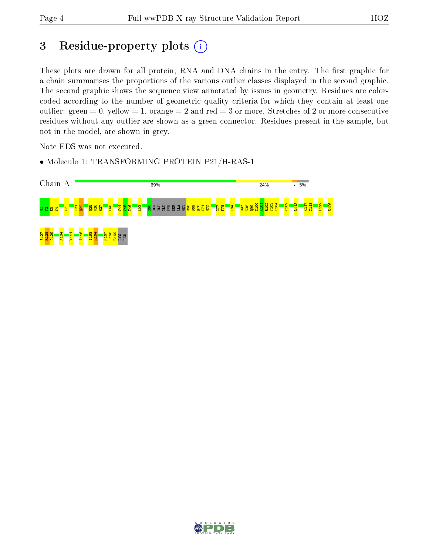## 3 Residue-property plots (i)

These plots are drawn for all protein, RNA and DNA chains in the entry. The first graphic for a chain summarises the proportions of the various outlier classes displayed in the second graphic. The second graphic shows the sequence view annotated by issues in geometry. Residues are colorcoded according to the number of geometric quality criteria for which they contain at least one outlier: green  $= 0$ , yellow  $= 1$ , orange  $= 2$  and red  $= 3$  or more. Stretches of 2 or more consecutive residues without any outlier are shown as a green connector. Residues present in the sample, but not in the model, are shown in grey.

Note EDS was not executed.

• Molecule 1: TRANSFORMING PROTEIN P21/H-RAS-1



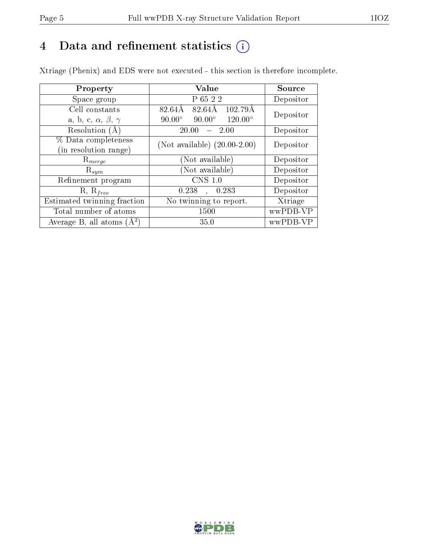# 4 Data and refinement statistics  $(i)$

Xtriage (Phenix) and EDS were not executed - this section is therefore incomplete.

| Property                               | <b>Value</b>                                       | Source    |  |
|----------------------------------------|----------------------------------------------------|-----------|--|
| Space group                            | P 65 2 2                                           | Depositor |  |
| Cell constants                         | $102.79\text{\AA}$<br>82.64Å<br>82.64Å             | Depositor |  |
| a, b, c, $\alpha$ , $\beta$ , $\gamma$ | $90.00^\circ$<br>$120.00^{\circ}$<br>$90.00^\circ$ |           |  |
| Resolution (A)                         | 20.00<br>2.00                                      | Depositor |  |
| % Data completeness                    | (Not available) $(20.00-2.00)$                     | Depositor |  |
| (in resolution range)                  |                                                    |           |  |
| $\mathrm{R}_{merge}$                   | (Not available)                                    | Depositor |  |
| $\mathrm{R}_{sym}$                     | (Not available)                                    | Depositor |  |
| Refinement program                     | CNS 1.0                                            | Depositor |  |
| $R, R_{free}$                          | 0.238<br>0.283<br>$\mathbf{A}$                     | Depositor |  |
| Estimated twinning fraction            | No twinning to report.                             | Xtriage   |  |
| Total number of atoms                  | 1500                                               | wwPDB-VP  |  |
| Average B, all atoms $(A^2)$           | 35.0                                               | wwPDB-VP  |  |

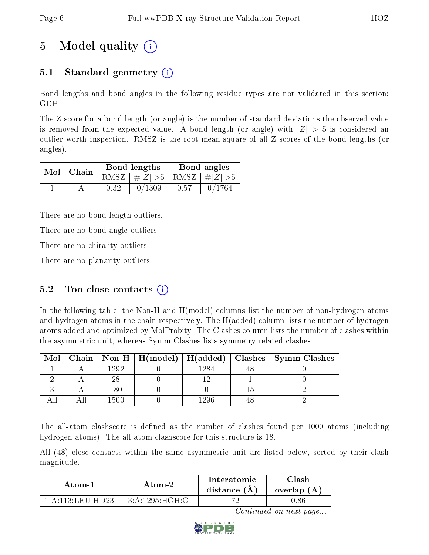# 5 Model quality  $(i)$

## 5.1 Standard geometry  $\overline{()}$

Bond lengths and bond angles in the following residue types are not validated in this section: GDP

The Z score for a bond length (or angle) is the number of standard deviations the observed value is removed from the expected value. A bond length (or angle) with  $|Z| > 5$  is considered an outlier worth inspection. RMSZ is the root-mean-square of all Z scores of the bond lengths (or angles).

| $Mol$   Chain |      | <b>Bond lengths</b>             | Bond angles |        |  |
|---------------|------|---------------------------------|-------------|--------|--|
|               |      | RMSZ $ #Z  > 5$ RMSZ $ #Z  > 5$ |             |        |  |
|               | 0.32 | 0/1309                          | 0.57        | 0/1764 |  |

There are no bond length outliers.

There are no bond angle outliers.

There are no chirality outliers.

There are no planarity outliers.

### 5.2 Too-close contacts  $(i)$

In the following table, the Non-H and H(model) columns list the number of non-hydrogen atoms and hydrogen atoms in the chain respectively. The H(added) column lists the number of hydrogen atoms added and optimized by MolProbity. The Clashes column lists the number of clashes within the asymmetric unit, whereas Symm-Clashes lists symmetry related clashes.

| Mol |      |       | Chain   Non-H   H(model)   H(added)   Clashes   Symm-Clashes |
|-----|------|-------|--------------------------------------------------------------|
|     | 1999 | 1984  |                                                              |
|     |      |       |                                                              |
|     | 180  |       |                                                              |
|     |      | ା ୨୦ନ |                                                              |

The all-atom clashscore is defined as the number of clashes found per 1000 atoms (including hydrogen atoms). The all-atom clashscore for this structure is 18.

All (48) close contacts within the same asymmetric unit are listed below, sorted by their clash magnitude.

| Atom-1           | Atom-2         | Interatomic<br>distance (A) | Clash<br>overlap (A) |  |
|------------------|----------------|-----------------------------|----------------------|--|
| 1 A 113 LEU HD23 | 3:A:1295:HOH:C |                             | 1.86                 |  |

Continued on next page...

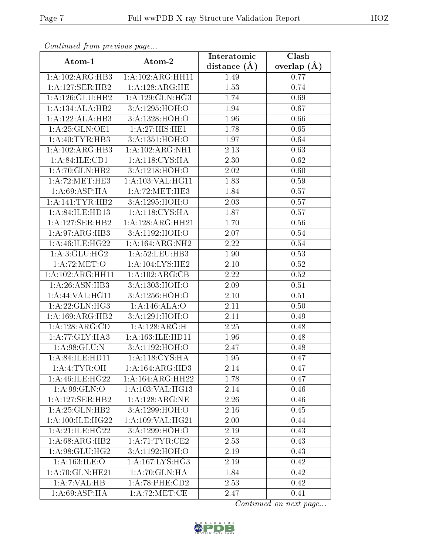| сонинией јтот ртеvиоиз раде |                                       | Interatomic    | Clash         |
|-----------------------------|---------------------------------------|----------------|---------------|
| Atom-1                      | Atom-2                                | distance $(A)$ | overlap $(A)$ |
| 1:A:102:ARG:HB3             | 1: A: 102: ARG: HH11                  | 1.49           | 0.77          |
| 1:A:127:SER:HB2             | 1:A:128:ARG:HE                        | 1.53           | 0.74          |
| 1: A:126: GLU:HB2           | 1:A:129:GLN:HG3                       | 1.74           | 0.69          |
| 1:A:134:ALA:HB2             | 3:A:1295:HOH:O                        | 1.94           | 0.67          |
| 1:A:122:ALA:HB3             | 3:A:1328:HOH:O                        | 1.96           | 0.66          |
| 1:A:25:GLN:OE1              | 1:A:27:HIS:HE1                        | 1.78           | 0.65          |
| 1:A:40:TYR:HB3              | 3:A:1351:HOH:O                        | 1.97           | 0.64          |
| 1:A:102:ARG:HB3             | 1:A:102:ARG:NH1                       | 2.13           | 0.63          |
| 1: A:84:ILE:CD1             | 1: A:118: CYS: HA                     | 2.30           | 0.62          |
| 1:A:70:GLN:HB2              | 3:A:1218:HOH:O                        | 2.02           | 0.60          |
| 1:A:72:MET:HE3              | 1: A: 103: VAL: HG11                  | 1.83           | 0.59          |
| 1: A:69: ASP: HA            | 1: A:72:MET:HE3                       | 1.84           | 0.57          |
| 1:A:141:TYR:HB2             | 3:A:1295:HOH:O                        | 2.03           | 0.57          |
| 1:A:84:ILE:HD13             | 1: A:118: CYS: HA                     | 1.87           | 0.57          |
| 1:A:127:SER:HB2             | 1: A:128:ARG:HH21                     | 1.70           | 0.56          |
| 1:A:97:ARG:HB3              | 3:A:1192:HOH:O                        | 2.07           | 0.54          |
| 1: A:46: ILE:HG22           | 1:A:164:ARG:NH2                       | 2.22           | 0.54          |
| 1: A:3: GLU: HG2            | 1: A:52:LEU:HB3                       | 1.90           | 0.53          |
| 1: A:72: MET:O              | 1: A:104:LYS:HE2                      | 2.10           | 0.52          |
| 1:A:102:ARG:HH11            | 1:A:102:ARG:CB                        | 2.22           | 0.52          |
| 1: A:26: ASN:HB3            | 3:A:1303:HOH:O                        | 2.09           | 0.51          |
| 1: A:44: VAL:HGI1           | 3:A:1256:HOH:O                        | 2.10           | 0.51          |
| 1:A:22:GLN:HG3              | 1:A:146:ALA:O                         | 2.11           | 0.50          |
| 1:A:169:ARG:HB2             | 3:A:1291:HOH:O                        | 2.11           | 0.49          |
| 1:A:128:ARG:CD              | 1:A:128:ARG:H                         | 2.25           | 0.48          |
| 1:A:77:GLY:HA3              | 1: A: 163: ILE: HD11                  | 1.96           | 0.48          |
| 1:A:98:GLU:N                | 3:A:1192:HOH:O                        | 2.47           | 0.48          |
| 1:A:84:ILE:HD11             | 1:A:118:CYS:HA                        | 1.95           | 0.47          |
| 1:A:4:TYR:OH                | 1:A:164:ARG:HD3                       | 2.14           | 0.47          |
| 1: A:46: ILE: HG22          | 1: A: 164: ARG: HH22                  | 1.78           | 0.47          |
| 1: A:99: GLN:O              | 1: A: 103: VAL: HG13                  | 2.14           | 0.46          |
| 1:A:127:SER:HB2             | 1:A:128:ARG:NE                        | 2.26           | 0.46          |
| 1: A:25: GLN:HB2            | 3:A:1299:HOH:O                        | 2.16           | 0.45          |
| 1: A:100:ILE:HG22           | 1:A:109:VAL:HG21                      | 2.00           | 0.44          |
| 1: A:21: ILE: HG22          | 3:A:1299:HOH:O                        | 2.19           | 0.43          |
| 1:A:68:ARG:HB2              | 1: A:71:TYR:CE2                       | 2.53           | 0.43          |
| 1: A:98: GLU: HG2           | 3:A:1192:HOH:O                        | 2.19           | 0.43          |
| 1: A: 163: ILE: O           | 1: A:167: LYS: HG3                    | 2.19           | 0.42          |
| 1: A:70: GLN: HE21          | 1:A:70:GLN:HA                         | 1.84           | 0.42          |
| 1:A:7:VAL:HB                | 1: A:78: PHE:CD2                      | 2.53           | 0.42          |
| $1:A:69: \overline{ASP:HA}$ | $1: A:72: \overline{\mathrm{MET:CE}}$ | 2.47           | 0.41          |

Continued from previous page.

Continued on next page...

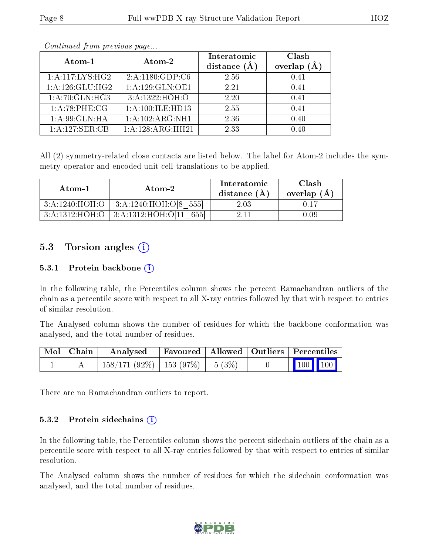|--|--|--|

| Atom-1           | Atom-2           | Interatomic<br>distance $(A)$ | Clash<br>overlap $(A)$ |
|------------------|------------------|-------------------------------|------------------------|
| 1:A:117:LYS:HG2  | 2:A:1180:GDP:C6  | 2.56                          | 0.41                   |
| 1:A:126:GLU:HG2  | 1:A:129:GLN:OE1  | 2.21                          | 0.41                   |
| 1:A:70:GLN:HG3   | 3:A:1322:HOH:O   | 2.20                          | 0.41                   |
| 1: A:78:PHE:CG   | 1:A:100:ILE:HD13 | 2.55                          | 0.41                   |
| 1: A:99: GLN: HA | 1:A:102:ARG:NH1  | 2.36                          | 0.40                   |
| 1:A:127:SER:CB   | 1:A:128:ARG:HH21 | 2.33                          | 0.40                   |

Continued from previous page...

All (2) symmetry-related close contacts are listed below. The label for Atom-2 includes the symmetry operator and encoded unit-cell translations to be applied.

| Atom-1         | Atom-2                   | Interatomic<br>distance $(A)$ | Clash<br>overlap $(A)$ |
|----------------|--------------------------|-------------------------------|------------------------|
| 3:A:1240:HOH:O | 3:A:1240:HOH:O[8]<br>555 | $2.03\,$                      |                        |
| 3:A:1312:HOH:O | 3:A:1312:HOH:O[11]       |                               |                        |

### 5.3 Torsion angles  $(i)$

#### 5.3.1 Protein backbone  $(i)$

In the following table, the Percentiles column shows the percent Ramachandran outliers of the chain as a percentile score with respect to all X-ray entries followed by that with respect to entries of similar resolution.

The Analysed column shows the number of residues for which the backbone conformation was analysed, and the total number of residues.

| Mol   Chain | Analysed                               | Favoured   Allowed   Outliers   Percentiles |  |                         |  |
|-------------|----------------------------------------|---------------------------------------------|--|-------------------------|--|
|             | $(158/171 (92\%)$   153 (97%)   5 (3%) |                                             |  | $\vert$ 100 100 $\vert$ |  |

There are no Ramachandran outliers to report.

#### $5.3.2$  Protein sidechains  $(i)$

In the following table, the Percentiles column shows the percent sidechain outliers of the chain as a percentile score with respect to all X-ray entries followed by that with respect to entries of similar resolution.

The Analysed column shows the number of residues for which the sidechain conformation was analysed, and the total number of residues.

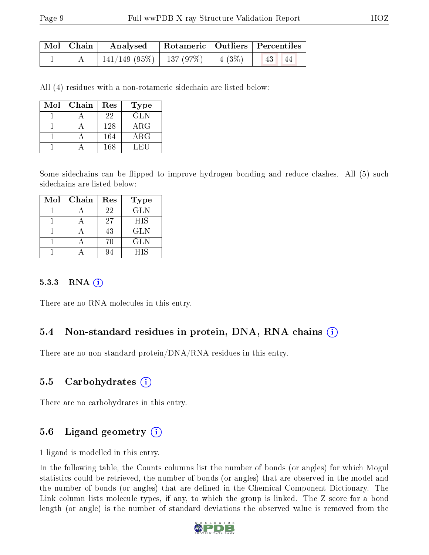| $\mid$ Mol $\mid$ Chain $\mid$ | Analysed Rotameric   Outliers   Percentiles                  |  |                  |             |
|--------------------------------|--------------------------------------------------------------|--|------------------|-------------|
|                                | $\mid$ 141/149 (95%) $\mid$ 137 (97%) $\mid$ 4 (3%) $\mid$ 1 |  | $\vert 43 \vert$ | $\sqrt{44}$ |

All (4) residues with a non-rotameric sidechain are listed below:

| Mol | Chain | Res | Type        |
|-----|-------|-----|-------------|
|     |       | 22  | <b>GLN</b>  |
|     |       | 128 | $\rm{ARG}$  |
|     |       | 164 | ${\rm ARG}$ |
|     |       | 168 | LEU         |

Some sidechains can be flipped to improve hydrogen bonding and reduce clashes. All (5) such sidechains are listed below:

| Mol | Chain | Res | Type       |
|-----|-------|-----|------------|
|     |       | 22  | <b>GLN</b> |
|     |       | 27  | <b>HIS</b> |
|     |       | 43  | <b>GLN</b> |
|     |       | 70  | <b>GLN</b> |
|     |       |     | HIS        |

#### 5.3.3 RNA  $(i)$

There are no RNA molecules in this entry.

#### 5.4 Non-standard residues in protein, DNA, RNA chains  $(i)$

There are no non-standard protein/DNA/RNA residues in this entry.

#### 5.5 Carbohydrates  $(i)$

There are no carbohydrates in this entry.

## 5.6 Ligand geometry  $(i)$

1 ligand is modelled in this entry.

In the following table, the Counts columns list the number of bonds (or angles) for which Mogul statistics could be retrieved, the number of bonds (or angles) that are observed in the model and the number of bonds (or angles) that are defined in the Chemical Component Dictionary. The Link column lists molecule types, if any, to which the group is linked. The Z score for a bond length (or angle) is the number of standard deviations the observed value is removed from the

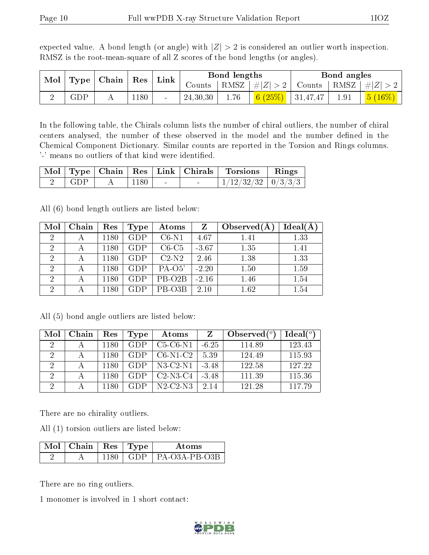| Mol | $ $ Type $ $ | $\mid$ Chain $\mid$ | $\pm$ Res $^+$ | $\mathop{\rm Link}\nolimits$ |          | Bond lengths      |             |          | Bond angles |                       |
|-----|--------------|---------------------|----------------|------------------------------|----------|-------------------|-------------|----------|-------------|-----------------------|
|     |              |                     |                |                              | Counts   | RMSZ <sub>1</sub> | $+  Z  > 2$ | Counts   | RMSZ        | # $ Z  > 2$           |
|     | GDP          |                     | 180            | $\sim$                       | 24,30,30 | 1.76              | (25%)<br>6f | 31,47,47 | 1.91        | $\sqrt{5}$<br>$16\%)$ |

expected value. A bond length (or angle) with  $|Z| > 2$  is considered an outlier worth inspection. RMSZ is the root-mean-square of all Z scores of the bond lengths (or angles).

In the following table, the Chirals column lists the number of chiral outliers, the number of chiral centers analysed, the number of these observed in the model and the number defined in the Chemical Component Dictionary. Similar counts are reported in the Torsion and Rings columns. '-' means no outliers of that kind were identified.

|       |      |  | Mol Type Chain Res Link Chirals Torsions Rings |  |
|-------|------|--|------------------------------------------------|--|
| – GDP | 1180 |  | $1/12/32/32$   $0/3/3/3$                       |  |

All (6) bond length outliers are listed below:

| Mol            | Chain | Res  | Type       | Atoms               | Z       | Observed $(A)$ | Ideal(A) |
|----------------|-------|------|------------|---------------------|---------|----------------|----------|
| $\overline{2}$ |       | 1180 | <b>GDP</b> | $C6-N1$             | 4.67    | 1.41           | 1.33     |
| $\overline{2}$ |       | 1180 | <b>GDP</b> | $C6-C5$             | $-3.67$ | 1.35           | 1.41     |
| $\overline{2}$ |       | 1180 | <b>GDP</b> | $C2-N2$             | 2.46    | 1.38           | 1.33     |
| $\overline{2}$ |       | 1180 | <b>GDP</b> | $PA-O5'$            | $-2.20$ | 1.50           | 1.59     |
| 2              |       | 1180 | GDP        | PB-O <sub>2</sub> B | $-2.16$ | 1.46           | 1.54     |
| $\overline{2}$ |       | 1180 | GDP        | PB-O3B              | 2.10    | 1.62           | 1.54     |

All (5) bond angle outliers are listed below:

| Mol | Chain | Res  | Type | Atoms          |         | Observed $(°)$ | Ideal $({}^o)$ |
|-----|-------|------|------|----------------|---------|----------------|----------------|
| 2   |       | 1180 | GDP  | $C5-C6-N1$     | $-6.25$ | 114.89         | 123.43         |
|     |       | 1180 | GDP  | $C6-N1-C2$     | 5.39    | 124.49         | 115.93         |
| 2   |       | 1180 | GDP  | $N3$ -C2- $N1$ | $-3.48$ | 122.58         | 127.22         |
|     |       | 1180 | GDP  | $C2-N3-C4$     | $-3.48$ | 111.39         | 115.36         |
|     |       | 1180 | GDP  | $N2-C2-N3$     | 2.14    | 121.28         | 117 79         |

There are no chirality outliers.

All (1) torsion outliers are listed below:

| $\sqrt{\text{Mol}}$ Chain   Res   Type |  | A toms                                 |
|----------------------------------------|--|----------------------------------------|
|                                        |  | $1180 \perp$ GDP $\perp$ PA-O3A-PB-O3B |

There are no ring outliers.

1 monomer is involved in 1 short contact:

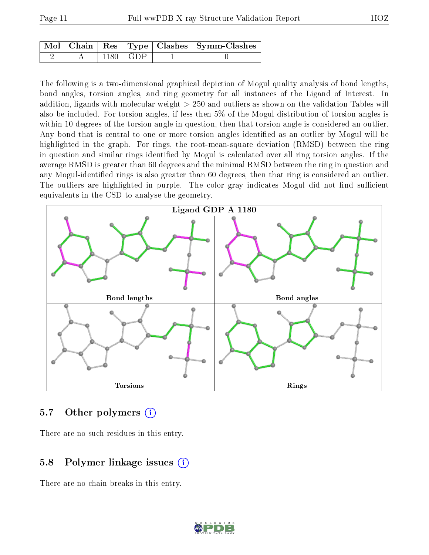|  |                                        | Mol   Chain   Res   Type   Clashes   Symm-Clashes |
|--|----------------------------------------|---------------------------------------------------|
|  | $^{\circ}$ 1180 $\parallel$ GDP $\Box$ |                                                   |

The following is a two-dimensional graphical depiction of Mogul quality analysis of bond lengths, bond angles, torsion angles, and ring geometry for all instances of the Ligand of Interest. In addition, ligands with molecular weight > 250 and outliers as shown on the validation Tables will also be included. For torsion angles, if less then 5% of the Mogul distribution of torsion angles is within 10 degrees of the torsion angle in question, then that torsion angle is considered an outlier. Any bond that is central to one or more torsion angles identified as an outlier by Mogul will be highlighted in the graph. For rings, the root-mean-square deviation (RMSD) between the ring in question and similar rings identified by Mogul is calculated over all ring torsion angles. If the average RMSD is greater than 60 degrees and the minimal RMSD between the ring in question and any Mogul-identified rings is also greater than 60 degrees, then that ring is considered an outlier. The outliers are highlighted in purple. The color gray indicates Mogul did not find sufficient equivalents in the CSD to analyse the geometry.



#### 5.7 [O](https://www.wwpdb.org/validation/2017/XrayValidationReportHelp#nonstandard_residues_and_ligands)ther polymers (i)

There are no such residues in this entry.

### 5.8 Polymer linkage issues (i)

There are no chain breaks in this entry.